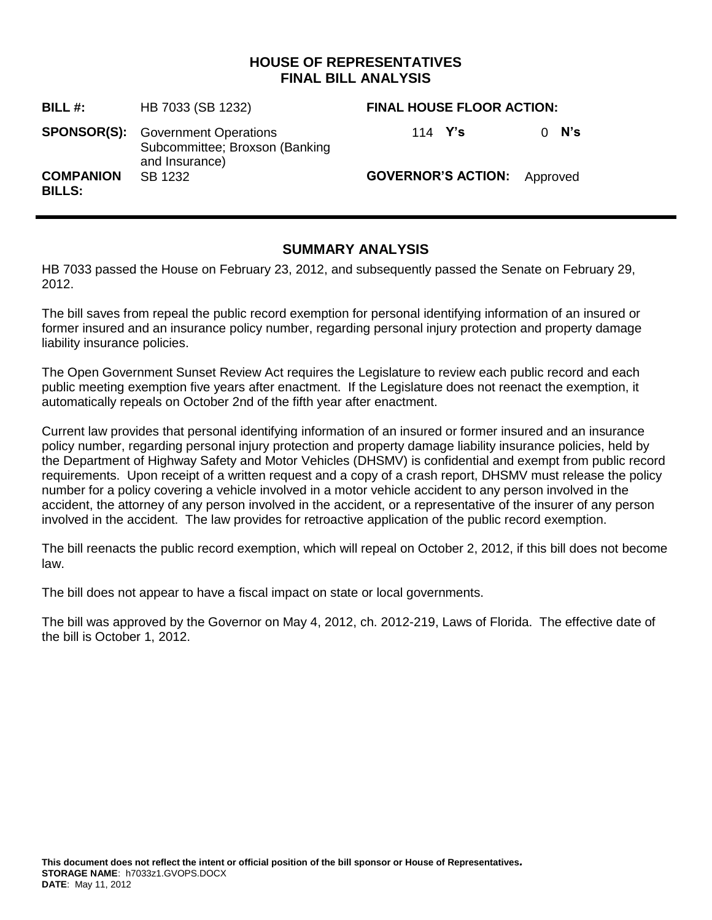## **HOUSE OF REPRESENTATIVES FINAL BILL ANALYSIS**

| <b>BILL #:</b>                    | HB 7033 (SB 1232)                                                                             | <b>FINAL HOUSE FLOOR ACTION:</b>   |         |
|-----------------------------------|-----------------------------------------------------------------------------------------------|------------------------------------|---------|
|                                   | <b>SPONSOR(S):</b> Government Operations<br>Subcommittee; Broxson (Banking)<br>and Insurance) | 114 Y's                            | $0$ N's |
| <b>COMPANION</b><br><b>BILLS:</b> | SB 1232                                                                                       | <b>GOVERNOR'S ACTION:</b> Approved |         |

# **SUMMARY ANALYSIS**

HB 7033 passed the House on February 23, 2012, and subsequently passed the Senate on February 29, 2012.

The bill saves from repeal the public record exemption for personal identifying information of an insured or former insured and an insurance policy number, regarding personal injury protection and property damage liability insurance policies.

The Open Government Sunset Review Act requires the Legislature to review each public record and each public meeting exemption five years after enactment. If the Legislature does not reenact the exemption, it automatically repeals on October 2nd of the fifth year after enactment.

Current law provides that personal identifying information of an insured or former insured and an insurance policy number, regarding personal injury protection and property damage liability insurance policies, held by the Department of Highway Safety and Motor Vehicles (DHSMV) is confidential and exempt from public record requirements. Upon receipt of a written request and a copy of a crash report, DHSMV must release the policy number for a policy covering a vehicle involved in a motor vehicle accident to any person involved in the accident, the attorney of any person involved in the accident, or a representative of the insurer of any person involved in the accident. The law provides for retroactive application of the public record exemption.

The bill reenacts the public record exemption, which will repeal on October 2, 2012, if this bill does not become law.

The bill does not appear to have a fiscal impact on state or local governments.

The bill was approved by the Governor on May 4, 2012, ch. 2012-219, Laws of Florida. The effective date of the bill is October 1, 2012.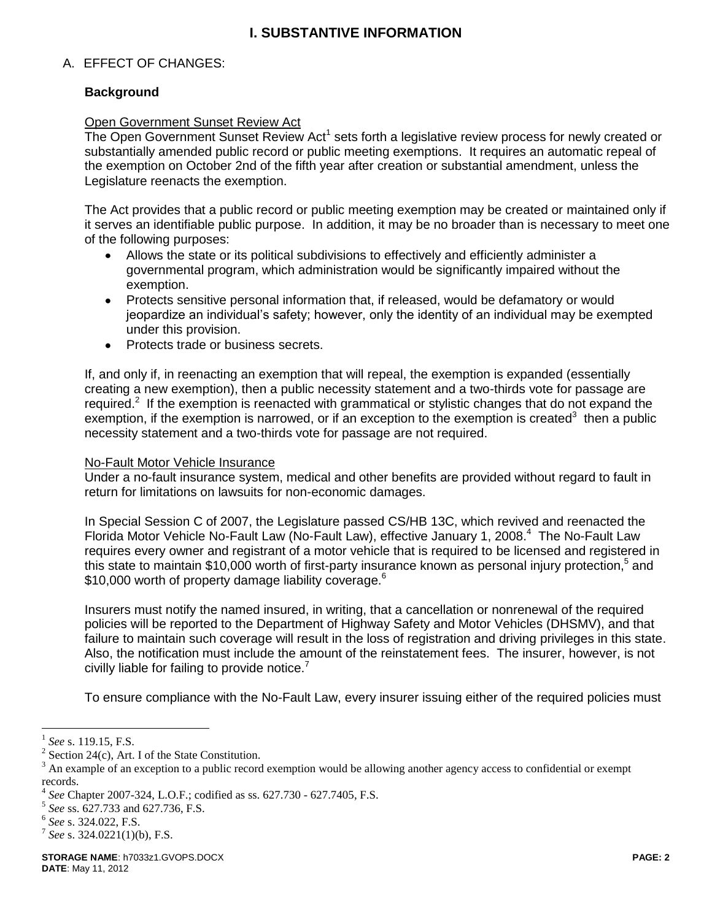# **I. SUBSTANTIVE INFORMATION**

## A. EFFECT OF CHANGES:

## **Background**

#### Open Government Sunset Review Act

The Open Government Sunset Review Act<sup>1</sup> sets forth a legislative review process for newly created or substantially amended public record or public meeting exemptions. It requires an automatic repeal of the exemption on October 2nd of the fifth year after creation or substantial amendment, unless the Legislature reenacts the exemption.

The Act provides that a public record or public meeting exemption may be created or maintained only if it serves an identifiable public purpose. In addition, it may be no broader than is necessary to meet one of the following purposes:

- Allows the state or its political subdivisions to effectively and efficiently administer a governmental program, which administration would be significantly impaired without the exemption.
- Protects sensitive personal information that, if released, would be defamatory or would jeopardize an individual's safety; however, only the identity of an individual may be exempted under this provision.
- Protects trade or business secrets.  $\bullet$

If, and only if, in reenacting an exemption that will repeal, the exemption is expanded (essentially creating a new exemption), then a public necessity statement and a two-thirds vote for passage are required.<sup>2</sup> If the exemption is reenacted with grammatical or stylistic changes that do not expand the exemption, if the exemption is narrowed, or if an exception to the exemption is created<sup>3</sup> then a public necessity statement and a two-thirds vote for passage are not required.

#### No-Fault Motor Vehicle Insurance

Under a no-fault insurance system, medical and other benefits are provided without regard to fault in return for limitations on lawsuits for non-economic damages.

In Special Session C of 2007, the Legislature passed CS/HB 13C, which revived and reenacted the Florida Motor Vehicle No-Fault Law (No-Fault Law), effective January 1, 2008.<sup>4</sup> The No-Fault Law requires every owner and registrant of a motor vehicle that is required to be licensed and registered in this state to maintain \$10,000 worth of first-party insurance known as personal injury protection,<sup>5</sup> and \$10,000 worth of property damage liability coverage.<sup>6</sup>

Insurers must notify the named insured, in writing, that a cancellation or nonrenewal of the required policies will be reported to the Department of Highway Safety and Motor Vehicles (DHSMV), and that failure to maintain such coverage will result in the loss of registration and driving privileges in this state. Also, the notification must include the amount of the reinstatement fees. The insurer, however, is not civilly liable for failing to provide notice. $<sup>7</sup>$ </sup>

To ensure compliance with the No-Fault Law, every insurer issuing either of the required policies must

 $\overline{a}$ 

<sup>1</sup> *See* s. 119.15, F.S.

 $2^{2}$  Section 24(c), Art. I of the State Constitution.

 $3$  An example of an exception to a public record exemption would be allowing another agency access to confidential or exempt records.

<sup>4</sup> *See* Chapter 2007-324, L.O.F.; codified as ss. 627.730 - 627.7405, F.S.

<sup>5</sup> *See* ss. 627.733 and 627.736, F.S.

<sup>6</sup> *See* s. 324.022, F.S.

<sup>7</sup> *See* s. 324.0221(1)(b), F.S.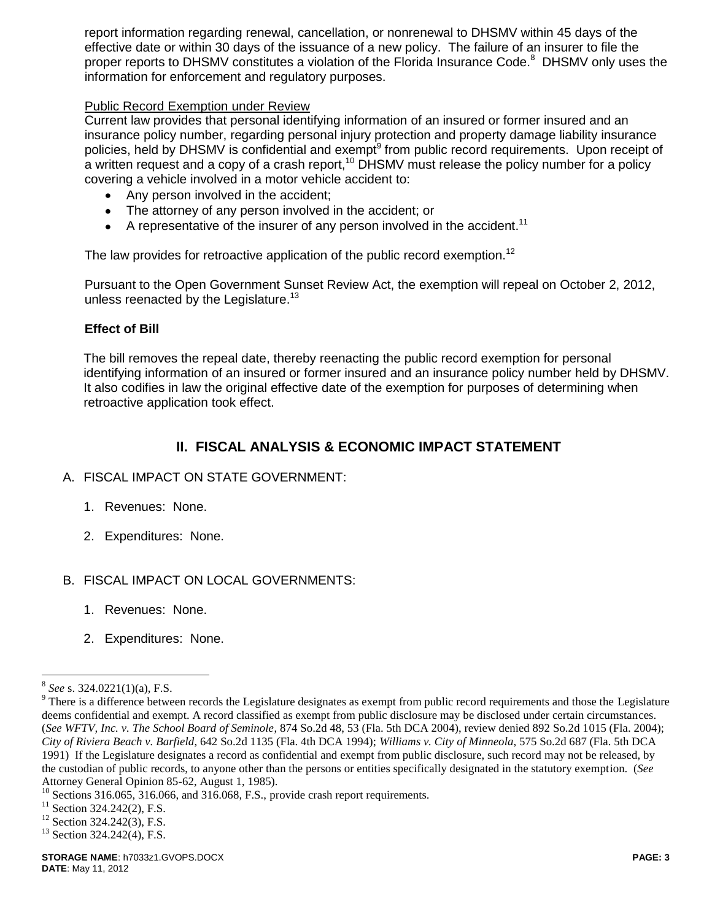report information regarding renewal, cancellation, or nonrenewal to DHSMV within 45 days of the effective date or within 30 days of the issuance of a new policy. The failure of an insurer to file the proper reports to DHSMV constitutes a violation of the Florida Insurance Code.<sup>8</sup> DHSMV only uses the information for enforcement and regulatory purposes.

### Public Record Exemption under Review

Current law provides that personal identifying information of an insured or former insured and an insurance policy number, regarding personal injury protection and property damage liability insurance policies, held by DHSMV is confidential and exempt<sup>9</sup> from public record requirements. Upon receipt of a written request and a copy of a crash report,  $10$  DHSMV must release the policy number for a policy covering a vehicle involved in a motor vehicle accident to:

- Any person involved in the accident;
- The attorney of any person involved in the accident; or
- A representative of the insurer of any person involved in the accident.<sup>11</sup>

The law provides for retroactive application of the public record exemption.<sup>12</sup>

Pursuant to the Open Government Sunset Review Act, the exemption will repeal on October 2, 2012, unless reenacted by the Legislature.<sup>13</sup>

## **Effect of Bill**

The bill removes the repeal date, thereby reenacting the public record exemption for personal identifying information of an insured or former insured and an insurance policy number held by DHSMV. It also codifies in law the original effective date of the exemption for purposes of determining when retroactive application took effect.

# **II. FISCAL ANALYSIS & ECONOMIC IMPACT STATEMENT**

- A. FISCAL IMPACT ON STATE GOVERNMENT:
	- 1. Revenues: None.
	- 2. Expenditures: None.

## B. FISCAL IMPACT ON LOCAL GOVERNMENTS:

- 1. Revenues: None.
- 2. Expenditures: None.

 $\overline{a}$ 

<sup>8</sup> *See* s. 324.0221(1)(a), F.S.

<sup>&</sup>lt;sup>9</sup> There is a difference between records the Legislature designates as exempt from public record requirements and those the Legislature deems confidential and exempt. A record classified as exempt from public disclosure may be disclosed under certain circumstances. (*See WFTV, Inc. v. The School Board of Seminole*, 874 So.2d 48, 53 (Fla. 5th DCA 2004), review denied 892 So.2d 1015 (Fla. 2004); *City of Riviera Beach v. Barfield*, 642 So.2d 1135 (Fla. 4th DCA 1994); *Williams v. City of Minneola*, 575 So.2d 687 (Fla. 5th DCA 1991) If the Legislature designates a record as confidential and exempt from public disclosure, such record may not be released, by the custodian of public records, to anyone other than the persons or entities specifically designated in the statutory exemption. (*See* Attorney General Opinion 85-62, August 1, 1985).

Sections 316.065, 316.066, and 316.068, F.S., provide crash report requirements.

 $11$  Section 324.242(2), F.S.

 $12$  Section 324.242(3), F.S.

<sup>&</sup>lt;sup>13</sup> Section 324.242(4), F.S.